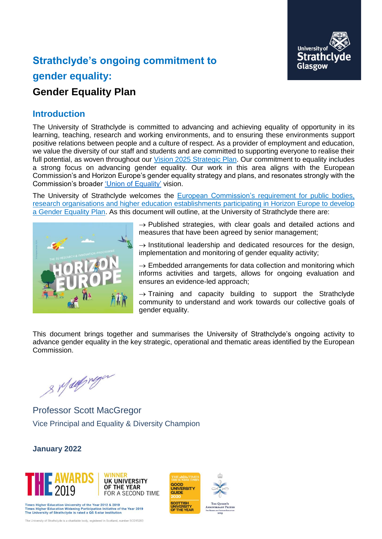

# **Strathclyde's ongoing commitment to gender equality: Gender Equality Plan**

# **Introduction**

The University of Strathclyde is committed to advancing and achieving equality of opportunity in its learning, teaching, research and working environments, and to ensuring these environments support positive relations between people and a culture of respect. As a provider of employment and education, we value the diversity of our staff and students and are committed to supporting everyone to realise their full potential, as woven throughout our [Vision 2025 Strategic Plan.](https://www.strath.ac.uk/whystrathclyde/strategicplan/) Our commitment to equality includes a strong focus on advancing gender equality. Our work in this area aligns with the European Commission's and Horizon Europe's gender equality strategy and plans, and resonates strongly with the Commission's broader ['Union of Equality'](https://ec.europa.eu/commission/commissioners/2019-2024/dalli/announcements/union-equality-first-year-actions-and-achievements_en) vision.

The University of Strathclyde welcomes the **European Commission's requirement for public bodies**, [research organisations and higher education establishments](https://ec.europa.eu/info/funding-tenders/opportunities/docs/2021-2027/horizon/wp-call/2021-2022/wp-13-general-annexes_horizon-2021-2022_en.pdf) participating in Horizon Europe to develop [a Gender Equality Plan.](https://ec.europa.eu/info/funding-tenders/opportunities/docs/2021-2027/horizon/wp-call/2021-2022/wp-13-general-annexes_horizon-2021-2022_en.pdf) As this document will outline, at the University of Strathclyde there are:



 $\rightarrow$  Published strategies, with clear goals and detailed actions and measures that have been agreed by senior management;

 $\rightarrow$  Institutional leadership and dedicated resources for the design, implementation and monitoring of gender equality activity;

 $\rightarrow$  Embedded arrangements for data collection and monitoring which informs activities and targets, allows for ongoing evaluation and ensures an evidence-led approach;

 $\rightarrow$  Training and capacity building to support the Strathclyde community to understand and work towards our collective goals of gender equality.

This document brings together and summarises the University of Strathclyde's ongoing activity to advance gender equality in the key strategic, operational and thematic areas identified by the European Commission.

GOOD

GOOD<br>UNIVERSITY<br>GUIDE

UNIVERSITY<br>OF THE YEAR

NNIVERSARY PRIZE

s Malfreyer

Professor Scott MacGregor Vice Principal and Equality & Diversity Champion

#### **January 2022**



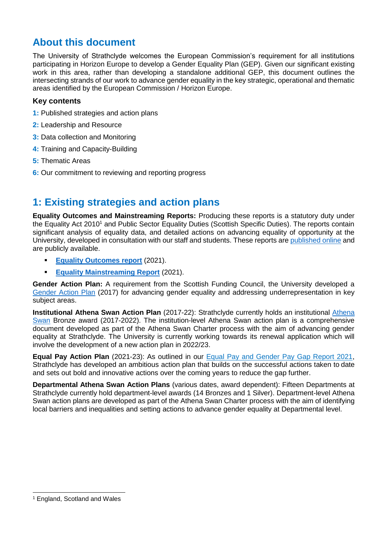## **About this document**

The University of Strathclyde welcomes the European Commission's requirement for all institutions participating in Horizon Europe to develop a Gender Equality Plan (GEP). Given our significant existing work in this area, rather than developing a standalone additional GEP, this document outlines the intersecting strands of our work to advance gender equality in the key strategic, operational and thematic areas identified by the European Commission / Horizon Europe.

#### **Key contents**

- **1:** Published strategies and action plans
- **2:** Leadership and Resource
- **3:** Data collection and Monitoring
- **4:** Training and Capacity-Building
- **5:** Thematic Areas
- **6:** Our commitment to reviewing and reporting progress

## **1: Existing strategies and action plans**

**Equality Outcomes and Mainstreaming Reports:** Producing these reports is a statutory duty under the Equality Act 2010<sup>1</sup> and Public Sector Equality Duties (Scottish Specific Duties). The reports contain significant analysis of equality data, and detailed actions on advancing equality of opportunity at the University, developed in consultation with our staff and students. These reports are [published online](https://www.strath.ac.uk/whystrathclyde/equalitydiversity/reports/) and are publicly available.

- **[Equality Outcomes report](file:///C:/Users/matso/Documents/Docs/Senior%20Equality%20&%20Diversity%20Officer/%09https:/www.strath.ac.uk/media/ps/sees/equality/Equality_Outcomes_Report_2021.pdf)** (2021).
- **[Equality Mainstreaming Report](https://www.strath.ac.uk/media/ps/sees/equality/Equality_Mainstreaming_Report_2021.pdf)** (2021).

**Gender Action Plan:** A requirement from the Scottish Funding Council, the University developed a [Gender Action Plan](https://www.strath.ac.uk/media/ps/sees/equality/Gender_Action_Plan.pdf) (2017) for advancing gender equality and addressing underrepresentation in key subject areas.

**Institutional Athena Swan Action Plan** (2017-22): Strathclyde currently holds an institutional [Athena](https://www.advance-he.ac.uk/equality-charters/transformed-uk-athena-swan-charter)  [Swan](https://www.advance-he.ac.uk/equality-charters/transformed-uk-athena-swan-charter) Bronze award (2017-2022). The institution-level Athena Swan action plan is a comprehensive document developed as part of the Athena Swan Charter process with the aim of advancing gender equality at Strathclyde. The University is currently working towards its renewal application which will involve the development of a new action plan in 2022/23.

**Equal Pay Action Plan** (2021-23): As outlined in our [Equal Pay and Gender Pay Gap Report 2021,](https://www.strath.ac.uk/media/ps/sees/equality/Equal_Pay_and_Gender_Pay_Gap_Report_2021.pdf) Strathclyde has developed an ambitious action plan that builds on the successful actions taken to date and sets out bold and innovative actions over the coming years to reduce the gap further.

**Departmental Athena Swan Action Plans** (various dates, award dependent): Fifteen Departments at Strathclyde currently hold department-level awards (14 Bronzes and 1 Silver). Department-level Athena Swan action plans are developed as part of the Athena Swan Charter process with the aim of identifying local barriers and inequalities and setting actions to advance gender equality at Departmental level.

-

<sup>1</sup> England, Scotland and Wales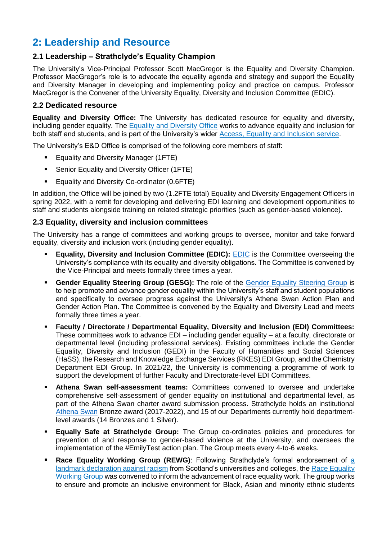## **2: Leadership and Resource**

#### **2.1 Leadership – Strathclyde's Equality Champion**

The University's Vice-Principal Professor Scott MacGregor is the Equality and Diversity Champion. Professor MacGregor's role is to advocate the equality agenda and strategy and support the Equality and Diversity Manager in developing and implementing policy and practice on campus. Professor MacGregor is the Convener of the University Equality, Diversity and Inclusion Committee (EDIC).

#### **2.2 Dedicated resource**

**Equality and Diversity Office:** The University has dedicated resource for equality and diversity, including gender equality. The [Equality and Diversity Office](https://www.strath.ac.uk/professionalservices/accessequalityinclusionservice/equalitydiversity/courses/) works to advance equality and inclusion for both staff and students, and is part of the University's wider [Access, Equality and Inclusion service.](https://www.strath.ac.uk/professionalservices/accessequalityinclusionservice/)

The University's E&D Office is comprised of the following core members of staff:

- **Equality and Diversity Manager (1FTE)**
- **•** Senior Equality and Diversity Officer (1FTE)
- Equality and Diversity Co-ordinator (0.6FTE)

In addition, the Office will be joined by two (1.2FTE total) Equality and Diversity Engagement Officers in spring 2022, with a remit for developing and delivering EDI learning and development opportunities to staff and students alongside training on related strategic priorities (such as gender-based violence).

#### **2.3 Equality, diversity and inclusion committees**

The University has a range of committees and working groups to oversee, monitor and take forward equality, diversity and inclusion work (including gender equality).

- **Equality, Diversity and Inclusion Committee ([EDIC](https://www.strath.ac.uk/professionalservices/accessequalityinclusionservice/equalitydiversity/committeesgroups/)):** EDIC is the Committee overseeing the University's compliance with its equality and diversity obligations. The Committee is convened by the Vice-Principal and meets formally three times a year.
- **EXECT AT A FIRE THE GEART COMPONE FIRE THE GEART FIRE COMPONER FIRE THE STAND IS COMPONER STANDIES FIRE COMPONER STANDIES OF STANDIES FIRE COMPONER STANDART GROUP IS** to help promote and advance gender equality within the University's staff and student populations and specifically to oversee progress against the University's Athena Swan Action Plan and Gender Action Plan. The Committee is convened by the Equality and Diversity Lead and meets formally three times a year.
- **Faculty / Directorate / Departmental Equality, Diversity and Inclusion (EDI) Committees:**  These committees work to advance EDI – including gender equality – at a faculty, directorate or departmental level (including professional services). Existing committees include the Gender Equality, Diversity and Inclusion (GEDI) in the Faculty of Humanities and Social Sciences (HaSS), the Research and Knowledge Exchange Services (RKES) EDI Group, and the Chemistry Department EDI Group. In 2021/22, the University is commencing a programme of work to support the development of further Faculty and Directorate-level EDI Committees.
- Athena Swan self-assessment teams: Committees convened to oversee and undertake comprehensive self-assessment of gender equality on institutional and departmental level, as part of the Athena Swan charter award submission process. Strathclyde holds an institutional [Athena Swan](https://www.advance-he.ac.uk/equality-charters/transformed-uk-athena-swan-charter) Bronze award (2017-2022), and 15 of our Departments currently hold departmentlevel awards (14 Bronzes and 1 Silver).
- **Equally Safe at Strathclyde Group:** The Group co-ordinates policies and procedures for prevention of and response to gender-based violence at the University, and oversees the implementation of the #EmilyTest action plan. The Group meets every 4-to-6 weeks.
- **Race Equality Working Group (REWG):** Following Strathclyde's formal endorsement of a [landmark declaration against racism](https://www.strath.ac.uk/blackhistorymonth/declarationagainstracism/) from Scotland's universities and colleges, the [Race Equality](https://www.strath.ac.uk/blackhistorymonth/raceequalityworkinggroupteam/)  [Working Group](https://www.strath.ac.uk/blackhistorymonth/raceequalityworkinggroupteam/) was convened to inform the advancement of race equality work. The group works to ensure and promote an inclusive environment for Black, Asian and minority ethnic students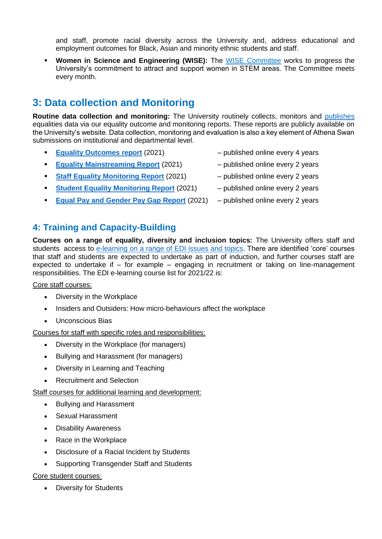and staff, promote racial diversity across the University and, address educational and employment outcomes for Black, Asian and minority ethnic students and staff.

**. Women in Science and Engineering (WISE):** The [WISE Committee](https://www.strath.ac.uk/engineering/civilenvironmentalengineering/aboutus/wise/) works to progress the University's commitment to attract and support women in STEM areas. The Committee meets every month.

## **3: Data collection and Monitoring**

**Routine data collection and monitoring:** The University routinely collects, monitors and [publishes](https://www.strath.ac.uk/whystrathclyde/equalitydiversity/reports/) equalities data via our equality outcome and monitoring reports. These reports are publicly available on the University's website. Data collection, monitoring and evaluation is also a key element of Athena Swan submissions on institutional and departmental level.

- **[Equality Outcomes report](file:///C:/Users/matso/Documents/Docs/Senior%20Equality%20&%20Diversity%20Officer/%09https:/www.strath.ac.uk/media/ps/sees/equality/Equality_Outcomes_Report_2021.pdf)** (2021) **and Algebrary 4** published online every 4 years
- **[Equality Mainstreaming Report](https://www.strath.ac.uk/media/ps/sees/equality/Equality_Mainstreaming_Report_2021.pdf)** (2021) published online every 2 years
- **[Staff Equality Monitoring Report](https://www.strath.ac.uk/media/ps/sees/equality/Equality_Monitoring_Report_2021_-_version_for_publication_New.pdf)** (2021) published online every 2 years
- **[Student Equality Monitoring Report](https://www.strath.ac.uk/media/ps/sees/equality/Student_Equality_Monitoring_Report_2021.pdf)** (2021) published online every 2 years
- **[Equal Pay and Gender Pay Gap Report](https://www.strath.ac.uk/media/ps/sees/equality/Equal_Pay_and_Gender_Pay_Gap_Report_2021.pdf)** (2021) published online every 2 years

### **4: Training and Capacity-Building**

**Courses on a range of equality, diversity and inclusion topics:** The University offers staff and students access to [e-learning on a range of EDI issues and topics.](https://www.strath.ac.uk/whystrathclyde/equalitydiversity/courses/) There are identified 'core' courses that staff and students are expected to undertake as part of induction, and further courses staff are expected to undertake if – for example – engaging in recruitment or taking on line-management responsibilities. The EDI e-learning course list for 2021/22 is:

Core staff courses:

- Diversity in the Workplace
- Insiders and Outsiders: How micro-behaviours affect the workplace
- Unconscious Bias

Courses for staff with specific roles and responsibilities:

- Diversity in the Workplace (for managers)
- Bullying and Harassment (for managers)
- Diversity in Learning and Teaching
- Recruitment and Selection

Staff courses for additional learning and development:

- Bullying and Harassment
- Sexual Harassment
- Disability Awareness
- Race in the Workplace
- Disclosure of a Racial Incident by Students
- Supporting Transgender Staff and Students

Core student courses:

• Diversity for Students

- 
- 
- 
- 
-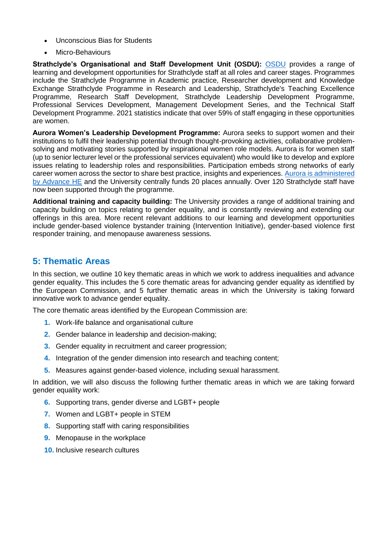- Unconscious Bias for Students
- Micro-Behaviours

**Strathclyde's Organisational and Staff Development Unit (OSDU):** [OSDU](https://www.strath.ac.uk/professionalservices/hr/learninganddevelopment/) provides a range of learning and development opportunities for Strathclyde staff at all roles and career stages. Programmes include the Strathclyde Programme in Academic practice, Researcher development and Knowledge Exchange Strathclyde Programme in Research and Leadership, Strathclyde's Teaching Excellence Programme, Research Staff Development, Strathclyde Leadership Development Programme, Professional Services Development, Management Development Series, and the Technical Staff Development Programme. 2021 statistics indicate that over 59% of staff engaging in these opportunities are women.

**Aurora Women's Leadership Development Programme:** Aurora seeks to support women and their institutions to fulfil their leadership potential through thought-provoking activities, collaborative problemsolving and motivating stories supported by inspirational women role models. Aurora is for women staff (up to senior lecturer level or the professional services equivalent) who would like to develop and explore issues relating to leadership roles and responsibilities. Participation embeds strong networks of early career women across the sector to share best practice, insights and experiences. [Aurora is administered](https://www.advance-he.ac.uk/programmes-events/aurora)  [by Advance HE](https://www.advance-he.ac.uk/programmes-events/aurora) and the University centrally funds 20 places annually. Over 120 Strathclyde staff have now been supported through the programme.

**Additional training and capacity building:** The University provides a range of additional training and capacity building on topics relating to gender equality, and is constantly reviewing and extending our offerings in this area. More recent relevant additions to our learning and development opportunities include gender-based violence bystander training (Intervention Initiative), gender-based violence first responder training, and menopause awareness sessions.

### **5: Thematic Areas**

In this section, we outline 10 key thematic areas in which we work to address inequalities and advance gender equality. This includes the 5 core thematic areas for advancing gender equality as identified by the European Commission, and 5 further thematic areas in which the University is taking forward innovative work to advance gender equality.

The core thematic areas identified by the European Commission are:

- **1.** Work-life balance and organisational culture
- **2.** Gender balance in leadership and decision-making;
- **3.** Gender equality in recruitment and career progression;
- **4.** Integration of the gender dimension into research and teaching content;
- **5.** Measures against gender-based violence, including sexual harassment.

In addition, we will also discuss the following further thematic areas in which we are taking forward gender equality work:

- **6.** Supporting trans, gender diverse and LGBT+ people
- **7.** Women and LGBT+ people in STEM
- **8.** Supporting staff with caring responsibilities
- **9.** Menopause in the workplace
- **10.** Inclusive research cultures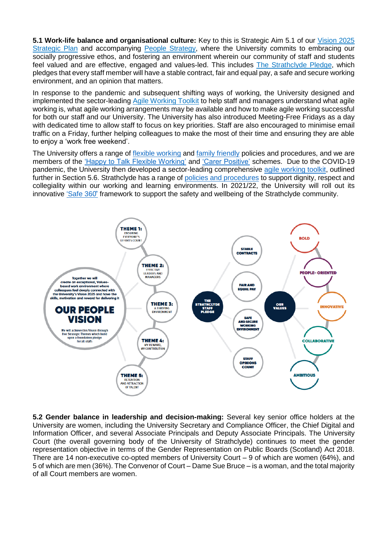**5.1 Work-life balance and organisational culture:** Key to this is Strategic Aim 5.1 of our [Vision 2025](https://www.strath.ac.uk/whystrathclyde/strategicplan/)  [Strategic Plan](https://www.strath.ac.uk/whystrathclyde/strategicplan/) and accompanying [People Strategy,](https://www.strath.ac.uk/whystrathclyde/peoplestrategy/) where the University commits to embracing our socially progressive ethos, and fostering an environment wherein our community of staff and students feel valued and are effective, engaged and values-led. This includes [The Strathclyde Pledge,](https://www.strath.ac.uk/whystrathclyde/peoplestrategy/thestrathclydepledge/) which pledges that every staff member will have a stable contract, fair and equal pay, a safe and secure working environment, and an opinion that matters.

In response to the pandemic and subsequent shifting ways of working, the University designed and implemented the sector-leading [Agile Working Toolkit](https://www.strath.ac.uk/whystrathclyde/peoplestrategy/agileworking/) to help staff and managers understand what agile working is, what agile working arrangements may be available and how to make agile working successful for both our staff and our University. The University has also introduced Meeting-Free Fridays as a day with dedicated time to allow staff to focus on key priorities. Staff are also encouraged to minimise email traffic on a Friday, further helping colleagues to make the most of their time and ensuring they are able to enjoy a 'work free weekend'.

The University offers a range of [flexible working](https://www.strath.ac.uk/professionalservices/hr/policiesandprocedures/flexibleandhomeworking/) and [family friendly](https://www.strath.ac.uk/professionalservices/hr/policiesandprocedures/family-friendlypoliciesandprocedures/) policies and procedures, and we are members of the ['Happy to Talk Flexible Working'](https://workingfamilies.org.uk/campaigns/happy-to-talk-flexible-working/) and ['Carer Positive'](https://www.carerpositive.org/) schemes. Due to the COVID-19 pandemic, the University then developed a sector-leading comprehensive [agile working toolkit,](https://www.strath.ac.uk/whystrathclyde/peoplestrategy/agileworking/) outlined further in Section 5.6. Strathclyde has a range of [policies and procedures](https://www.strath.ac.uk/staff/policies/hr/) to support dignity, respect and collegiality within our working and learning environments. In 2021/22, the University will roll out its innovative ['Safe 360̊'](https://www.strath.ac.uk/whystrathclyde/safe360/) framework to support the safety and wellbeing of the Strathclyde community.



**5.2 Gender balance in leadership and decision-making:** Several key senior office holders at the University are women, including the University Secretary and Compliance Officer, the Chief Digital and Information Officer, and several Associate Principals and Deputy Associate Principals. The University Court (the overall governing body of the University of Strathclyde) continues to meet the gender representation objective in terms of the Gender Representation on Public Boards (Scotland) Act 2018. There are 14 non-executive co-opted members of University Court – 9 of which are women (64%), and 5 of which are men (36%). The Convenor of Court – Dame Sue Bruce – is a woman, and the total majority of all Court members are women.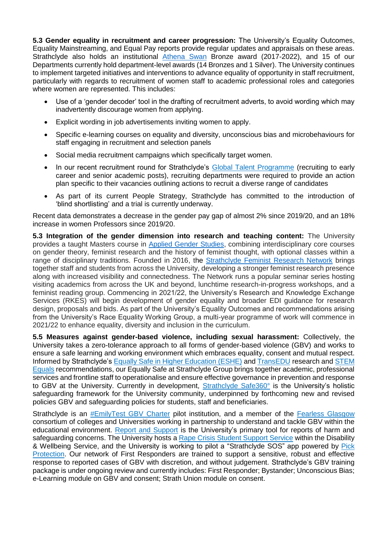**5.3 Gender equality in recruitment and career progression:** The University's Equality Outcomes, Equality Mainstreaming, and Equal Pay reports provide regular updates and appraisals on these areas. Strathclyde also holds an institutional [Athena Swan](https://www.advance-he.ac.uk/equality-charters/transformed-uk-athena-swan-charter) Bronze award (2017-2022), and 15 of our Departments currently hold department-level awards (14 Bronzes and 1 Silver). The University continues to implement targeted initiatives and interventions to advance equality of opportunity in staff recruitment, particularly with regards to recruitment of women staff to academic professional roles and categories where women are represented. This includes:

- Use of a 'gender decoder' tool in the drafting of recruitment adverts, to avoid wording which may inadvertently discourage women from applying.
- Explicit wording in job advertisements inviting women to apply.
- Specific e-learning courses on equality and diversity, unconscious bias and microbehaviours for staff engaging in recruitment and selection panels
- Social media recruitment campaigns which specifically target women.
- In our recent recruitment round for Strathclyde's [Global Talent Programme](https://www.strath.ac.uk/workwithus/strathclydeglobaltalentprogramme/) (recruiting to early career and senior academic posts), recruiting departments were required to provide an action plan specific to their vacancies outlining actions to recruit a diverse range of candidates
- As part of its current People Strategy, Strathclyde has committed to the introduction of 'blind shortlisting' and a trial is currently underway.

Recent data demonstrates a decrease in the gender pay gap of almost 2% since 2019/20, and an 18% increase in women Professors since 2019/20.

**5.3 Integration of the gender dimension into research and teaching content:** The University provides a taught Masters course in [Applied Gender Studies,](https://www.strath.ac.uk/courses/postgraduatetaught/appliedgenderstudies/) combining interdisciplinary core courses on gender theory, feminist research and the history of feminist thought, with optional classes within a range of disciplinary traditions. Founded in 2016, the [Strathclyde Feminist Research Network](http://sufeministnetwork.blogspot.com/p/front-page.html) brings together staff and students from across the University, developing a stronger feminist research presence along with increased visibility and connectedness. The Network runs a popular seminar series hosting visiting academics from across the UK and beyond, lunchtime research-in-progress workshops, and a feminist reading group. Commencing in 2021/22, the University's Research and Knowledge Exchange Services (RKES) will begin development of gender equality and broader EDI guidance for research design, proposals and bids. As part of the University's Equality Outcomes and recommendations arising from the University's Race Equality Working Group, a multi-year programme of work will commence in 2021/22 to enhance equality, diversity and inclusion in the curriculum.

**5.5 Measures against gender-based violence, including sexual harassment:** Collectively, the University takes a zero-tolerance approach to all forms of gender-based violence (GBV) and works to ensure a safe learning and working environment which embraces equality, consent and mutual respect. Informed by Strathclyde's [Equally Safe in Higher Education \(ESHE\)](https://www.strath.ac.uk/humanities/schoolofsocialworksocialpolicy/equallysafeinhighereducation/) and [TransEDU](https://www.trans.ac.uk/) research and [STEM](https://www.stemequals.ac.uk/)  [Equals](https://www.stemequals.ac.uk/) recommendations, our Equally Safe at Strathclyde Group brings together academic, professional services and frontline staff to operationalise and ensure effective governance in prevention and response to GBV at the University. Currently in development, [Strathclyde Safe360°](https://www.strath.ac.uk/whystrathclyde/safe360/) is the University's holistic safeguarding framework for the University community, underpinned by forthcoming new and revised policies GBV and safeguarding policies for students, staff and beneficiaries.

Strathclyde is an [#EmilyTest GBV Charter](http://emilytest.co.uk/) pilot institution, and a member of the [Fearless Glasgow](https://www.gcu.ac.uk/theuniversity/universitynews/2019-fearlessglasgow/) consortium of colleges and Universities working in partnership to understand and tackle GBV within the educational environment. [Report and Support](https://www.strath.ac.uk/studywithus/strathlife/reportsupport/) is the University's primary tool for reports of harm and safeguarding concerns. The University hosts a [Rape Crisis Student Support Service](https://www.strath.ac.uk/professionalservices/disabilityandwellbeing/rapecrisisstudentsupportservice/) within the Disability & Wellbeing Service, and the University is working to pilot a "Strathclyde SOS" app powered by Pick [Protection.](https://www.pickprotection.com/) Our network of First Responders are trained to support a sensitive, robust and effective response to reported cases of GBV with discretion, and without judgement. Strathclyde's GBV training package is under ongoing review and currently includes: First Responder; Bystander; Unconscious Bias; e-Learning module on GBV and consent; Strath Union module on consent.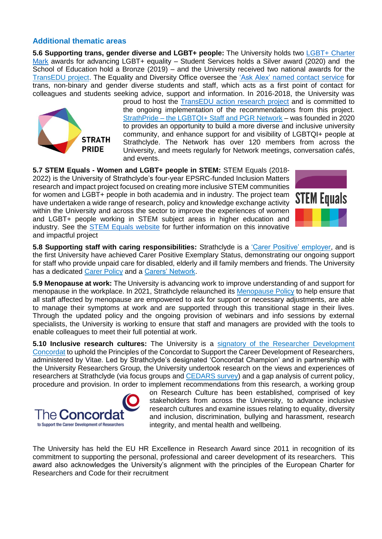#### **Additional thematic areas**

**5.6 Supporting trans, gender diverse and LGBT+ people:** The University holds two [LGBT+ Charter](https://www.lgbtyouth.org.uk/the-lgbt-charter/)  [Mark](https://www.lgbtyouth.org.uk/the-lgbt-charter/) awards for advancing LGBT+ equality – Student Services holds a Silver award (2020) and the School of Education hold a Bronze (2019) – and the University received two national awards for the [TransEDU project.](http://www.trans.ac.uk/) The Equality and Diversity Office oversee the ['Ask Alex' named contact service](https://www.strath.ac.uk/whystrathclyde/equalitydiversity/studentsupport/) for trans, non-binary and gender diverse students and staff, which acts as a first point of contact for colleagues and students seeking advice, support and information. In 2016-2018, the University was



proud to host the TransEDU [action research](http://www.trans.ac.uk/) project and is committed to the ongoing implementation of the recommendations from this project. StrathPride – [the LGBTQI+ Staff and PGR Network](https://www.strath.ac.uk/professionalservices/accessequalityinclusionservice/equalitydiversity/networks/lgbtqistaffpgrnetwork/) – was founded in 2020 to provides an opportunity to build a more diverse and inclusive university community, and enhance support for and visibility of LGBTQI+ people at Strathclyde. The Network has over 120 members from across the University, and meets regularly for Network meetings, conversation cafés, and events.

**5.7 STEM Equals - Women and LGBT+ people in STEM:** STEM Equals (2018- 2022) is the University of Strathclyde's four-year EPSRC-funded Inclusion Matters research and impact project focused on creating more inclusive STEM communities for women and LGBT+ people in both academia and in industry. The project team have undertaken a wide range of research, policy and knowledge exchange activity within the University and across the sector to improve the experiences of women and LGBT+ people working in STEM subject areas in higher education and industry. See the [STEM Equals website](https://www.stemequals.ac.uk/) for further information on this innovative and impactful project



**5.8 Supporting staff with caring responsibilities:** Strathclyde is a ['Carer Positive' employer,](https://www.carerpositive.org/) and is the first University have achieved Carer Positive Exemplary Status, demonstrating our ongoing support for staff who provide unpaid care for disabled, elderly and ill family members and friends. The University has a dedicated [Carer Policy](https://www.strath.ac.uk/media/ps/humanresources/policies/Carer_Policy.pdf) and a [Carers' Network.](https://www.strath.ac.uk/staff/policies/wellbeing/carers/)

**5.9 Menopause at work:** The University is advancing work to improve understanding of and support for menopause in the workplace. In 2021, Strathclyde relaunched its [Menopause Policy](https://universityofstrathclyde.newsweaver.com/cvg4pnmkid/110e8acbcqi3kh6ozsgc9y/external?email=true&a=5&p=60603793&t=31139365) to help ensure that all staff affected by menopause are empowered to ask for support or necessary adjustments, are able to manage their symptoms at work and are supported through this transitional stage in their lives. Through the updated policy and the ongoing provision of webinars and info sessions by external specialists, the University is working to ensure that staff and managers are provided with the tools to enable colleagues to meet their full potential at work.

**5.10 Inclusive research cultures:** The University is a [signatory of the Researcher Development](https://www.vitae.ac.uk/policy/concordat/University-of-Strathclyde-commitment-letter_concordat2019.pdf)  [Concordat](https://www.vitae.ac.uk/policy/concordat/University-of-Strathclyde-commitment-letter_concordat2019.pdf) to uphold the Principles of the Concordat to Support the Career Development of Researchers, administered by Vitae. Led by Strathclyde's designated 'Concordat Champion' and in partnership with the University Researchers Group, the University undertook research on the views and experiences of researchers at Strathclyde (via focus groups and [CEDARS survey\)](https://www.vitae.ac.uk/impact-and-evaluation/cedars/culture-employment-and-development-in-academic-research-survey) and a gap analysis of current policy, procedure and provision. In order to implement recommendations from this research, a working group



on Research Culture has been established, comprised of key stakeholders from across the University, to advance inclusive research cultures and examine issues relating to equality, diversity and inclusion, discrimination, bullying and harassment, research integrity, and mental health and wellbeing.

The University has held the EU HR Excellence in Research Award since 2011 in recognition of its commitment to supporting the personal, professional and career development of its researchers. This award also acknowledges the University's alignment with the principles of the European Charter for Researchers and Code for their recruitment